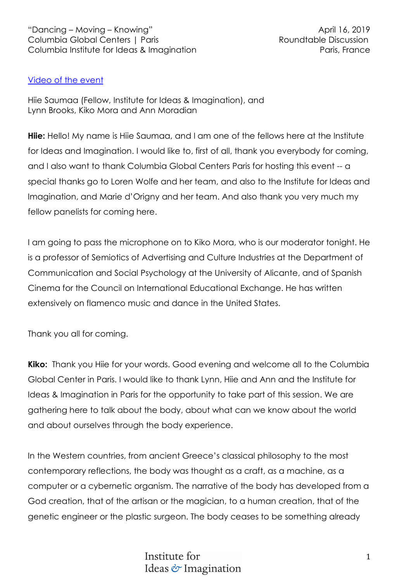# Video of the event

Hiie Saumaa (Fellow, Institute for Ideas & Imagination), and Lynn Brooks, Kiko Mora and Ann Moradian

**Hiie:** Hello! My name is Hiie Saumaa, and I am one of the fellows here at the Institute for Ideas and Imagination. I would like to, first of all, thank you everybody for coming, and I also want to thank Columbia Global Centers Paris for hosting this event -- a special thanks go to Loren Wolfe and her team, and also to the Institute for Ideas and Imagination, and Marie d'Origny and her team. And also thank you very much my fellow panelists for coming here.

I am going to pass the microphone on to Kiko Mora, who is our moderator tonight. He is a professor of Semiotics of Advertising and Culture Industries at the Department of Communication and Social Psychology at the University of Alicante, and of Spanish Cinema for the Council on International Educational Exchange. He has written extensively on flamenco music and dance in the United States.

Thank you all for coming.

**Kiko:** Thank you Hiie for your words. Good evening and welcome all to the Columbia Global Center in Paris. I would like to thank Lynn, Hiie and Ann and the Institute for Ideas & Imagination in Paris for the opportunity to take part of this session. We are gathering here to talk about the body, about what can we know about the world and about ourselves through the body experience.

In the Western countries, from ancient Greece's classical philosophy to the most contemporary reflections, the body was thought as a craft, as a machine, as a computer or a cybernetic organism. The narrative of the body has developed from a God creation, that of the artisan or the magician, to a human creation, that of the genetic engineer or the plastic surgeon. The body ceases to be something already

> Institute for Ideas & Imagination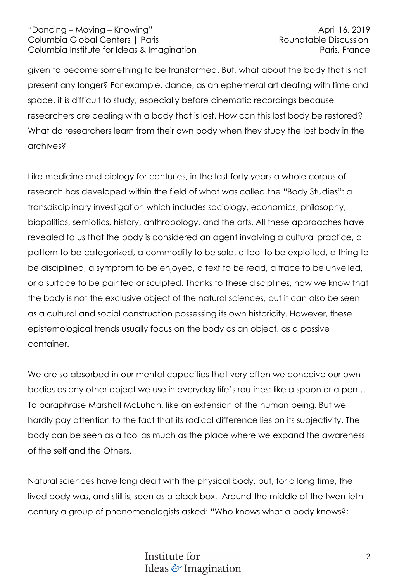given to become something to be transformed. But, what about the body that is not present any longer? For example, dance, as an ephemeral art dealing with time and space, it is difficult to study, especially before cinematic recordings because researchers are dealing with a body that is lost. How can this lost body be restored? What do researchers learn from their own body when they study the lost body in the archives?

Like medicine and biology for centuries, in the last forty years a whole corpus of research has developed within the field of what was called the "Body Studies": a transdisciplinary investigation which includes sociology, economics, philosophy, biopolitics, semiotics, history, anthropology, and the arts. All these approaches have revealed to us that the body is considered an agent involving a cultural practice, a pattern to be categorized, a commodity to be sold, a tool to be exploited, a thing to be disciplined, a symptom to be enjoyed, a text to be read, a trace to be unveiled, or a surface to be painted or sculpted. Thanks to these disciplines, now we know that the body is not the exclusive object of the natural sciences, but it can also be seen as a cultural and social construction possessing its own historicity. However, these epistemological trends usually focus on the body as an object, as a passive container.

We are so absorbed in our mental capacities that very often we conceive our own bodies as any other object we use in everyday life's routines: like a spoon or a pen… To paraphrase Marshall McLuhan, like an extension of the human being. But we hardly pay attention to the fact that its radical difference lies on its subjectivity. The body can be seen as a tool as much as the place where we expand the awareness of the self and the Others.

Natural sciences have long dealt with the physical body, but, for a long time, the lived body was, and still is, seen as a black box. Around the middle of the twentieth century a group of phenomenologists asked: "Who knows what a body knows?;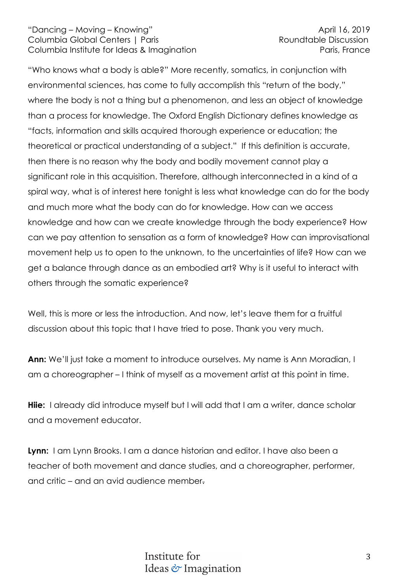"Who knows what a body is able?" More recently, somatics, in conjunction with environmental sciences, has come to fully accomplish this "return of the body," where the body is not a thing but a phenomenon, and less an object of knowledge than a process for knowledge. The Oxford English Dictionary defines knowledge as "facts, information and skills acquired thorough experience or education; the theoretical or practical understanding of a subject." If this definition is accurate, then there is no reason why the body and bodily movement cannot play a significant role in this acquisition. Therefore, although interconnected in a kind of a spiral way, what is of interest here tonight is less what knowledge can do for the body and much more what the body can do for knowledge. How can we access knowledge and how can we create knowledge through the body experience? How can we pay attention to sensation as a form of knowledge? How can improvisational movement help us to open to the unknown, to the uncertainties of life? How can we get a balance through dance as an embodied art? Why is it useful to interact with others through the somatic experience?

Well, this is more or less the introduction. And now, let's leave them for a fruitful discussion about this topic that I have tried to pose. Thank you very much.

**Ann:** We'll just take a moment to introduce ourselves. My name is Ann Moradian, I am a choreographer – I think of myself as a movement artist at this point in time.

**Hije:** I already did introduce myself but I will add that I am a writer, dance scholar and a movement educator.

**Lynn:** I am Lynn Brooks. I am a dance historian and editor. I have also been a teacher of both movement and dance studies, and a choreographer, performer, and critic – and an avid audience member.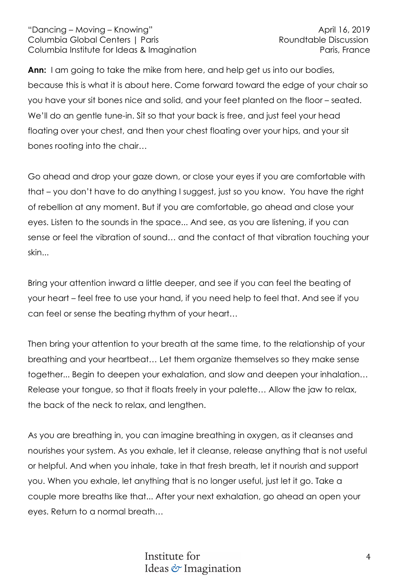**Ann:** I am going to take the mike from here, and help get us into our bodies, because this is what it is about here. Come forward toward the edge of your chair so you have your sit bones nice and solid, and your feet planted on the floor – seated. We'll do an gentle tune-in. Sit so that your back is free, and just feel your head floating over your chest, and then your chest floating over your hips, and your sit bones rooting into the chair…

Go ahead and drop your gaze down, or close your eyes if you are comfortable with that – you don't have to do anything I suggest, just so you know. You have the right of rebellion at any moment. But if you are comfortable, go ahead and close your eyes. Listen to the sounds in the space... And see, as you are listening, if you can sense or feel the vibration of sound… and the contact of that vibration touching your skin...

Bring your attention inward a little deeper, and see if you can feel the beating of your heart – feel free to use your hand, if you need help to feel that. And see if you can feel or sense the beating rhythm of your heart…

Then bring your attention to your breath at the same time, to the relationship of your breathing and your heartbeat… Let them organize themselves so they make sense together... Begin to deepen your exhalation, and slow and deepen your inhalation… Release your tongue, so that it floats freely in your palette… Allow the jaw to relax, the back of the neck to relax, and lengthen.

As you are breathing in, you can imagine breathing in oxygen, as it cleanses and nourishes your system. As you exhale, let it cleanse, release anything that is not useful or helpful. And when you inhale, take in that fresh breath, let it nourish and support you. When you exhale, let anything that is no longer useful, just let it go. Take a couple more breaths like that... After your next exhalation, go ahead an open your eyes. Return to a normal breath…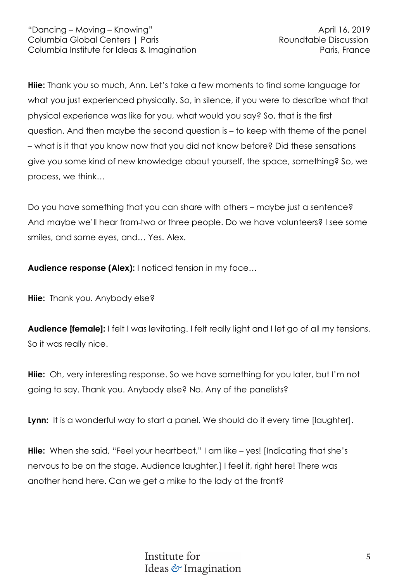**Hiie:** Thank you so much, Ann. Let's take a few moments to find some language for what you just experienced physically. So, in silence, if you were to describe what that physical experience was like for you, what would you say? So, that is the first question. And then maybe the second question is – to keep with theme of the panel – what is it that you know now that you did not know before? Did these sensations give you some kind of new knowledge about yourself, the space, something? So, we process, we think…

Do you have something that you can share with others – maybe just a sentence? And maybe we'll hear from-two or three people. Do we have volunteers? I see some smiles, and some eyes, and… Yes. Alex.

Audience response (Alex): I noticed tension in my face...

**Hiie:** Thank you. Anybody else?

**Audience [female]:** I felt I was levitating. I felt really light and I let go of all my tensions. So it was really nice.

**Hiie:** Oh, very interesting response. So we have something for you later, but I'm not going to say. Thank you. Anybody else? No. Any of the panelists?

Lynn: It is a wonderful way to start a panel. We should do it every time [laughter].

**Hiie:** When she said, "Feel your heartbeat," I am like – yes! [Indicating that she's nervous to be on the stage. Audience laughter.] I feel it, right here! There was another hand here. Can we get a mike to the lady at the front?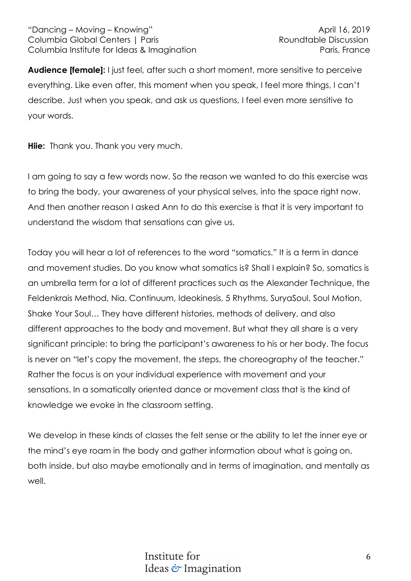**Audience [female]:** I just feel, after such a short moment, more sensitive to perceive everything. Like even after, this moment when you speak, I feel more things, I can't describe. Just when you speak, and ask us questions, I feel even more sensitive to your words.

**Hiie:** Thank you. Thank you very much.

I am going to say a few words now. So the reason we wanted to do this exercise was to bring the body, your awareness of your physical selves, into the space right now. And then another reason I asked Ann to do this exercise is that it is very important to understand the wisdom that sensations can give us.

Today you will hear a lot of references to the word "somatics." It is a term in dance and movement studies. Do you know what somatics is? Shall I explain? So, somatics is an umbrella term for a lot of different practices such as the Alexander Technique, the Feldenkrais Method, Nia, Continuum, Ideokinesis, 5 Rhythms, SuryaSoul, Soul Motion, Shake Your Soul… They have different histories, methods of delivery, and also different approaches to the body and movement. But what they all share is a very significant principle: to bring the participant's awareness to his or her body. The focus is never on "let's copy the movement, the steps, the choreography of the teacher." Rather the focus is on your individual experience with movement and your sensations. In a somatically oriented dance or movement class that is the kind of knowledge we evoke in the classroom setting.

We develop in these kinds of classes the felt sense or the ability to let the inner eye or the mind's eye roam in the body and gather information about what is going on, both inside, but also maybe emotionally and in terms of imagination, and mentally as well.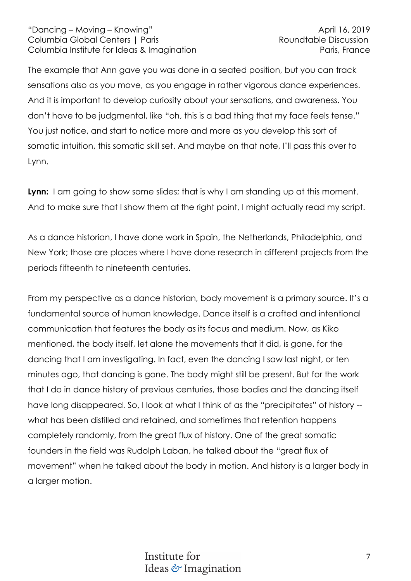The example that Ann gave you was done in a seated position, but you can track sensations also as you move, as you engage in rather vigorous dance experiences. And it is important to develop curiosity about your sensations, and awareness. You don't have to be judgmental, like "oh, this is a bad thing that my face feels tense." You just notice, and start to notice more and more as you develop this sort of somatic intuition, this somatic skill set. And maybe on that note, I'll pass this over to Lynn.

**Lynn:** I am going to show some slides; that is why I am standing up at this moment. And to make sure that I show them at the right point, I might actually read my script.

As a dance historian, I have done work in Spain, the Netherlands, Philadelphia, and New York; those are places where I have done research in different projects from the periods fifteenth to nineteenth centuries.

From my perspective as a dance historian, body movement is a primary source. It's a fundamental source of human knowledge. Dance itself is a crafted and intentional communication that features the body as its focus and medium. Now, as Kiko mentioned, the body itself, let alone the movements that it did, is gone, for the dancing that I am investigating. In fact, even the dancing I saw last night, or ten minutes ago, that dancing is gone. The body might still be present. But for the work that I do in dance history of previous centuries, those bodies and the dancing itself have long disappeared. So, I look at what I think of as the "precipitates" of history - what has been distilled and retained, and sometimes that retention happens completely randomly, from the great flux of history. One of the great somatic founders in the field was Rudolph Laban, he talked about the "great flux of movement" when he talked about the body in motion. And history is a larger body in a larger motion.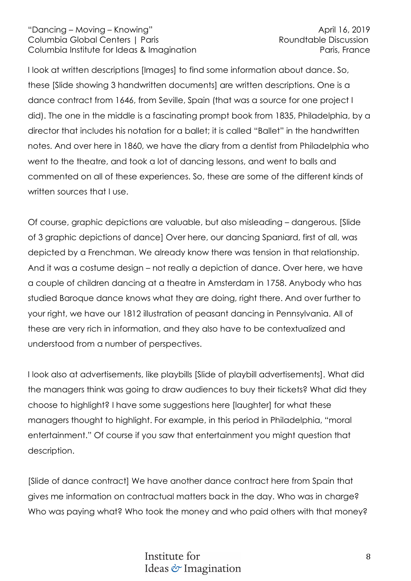I look at written descriptions [Images] to find some information about dance. So, these [Slide showing 3 handwritten documents] are written descriptions. One is a dance contract from 1646, from Seville, Spain (that was a source for one project I did). The one in the middle is a fascinating prompt book from 1835, Philadelphia, by a director that includes his notation for a ballet; it is called "Ballet" in the handwritten notes. And over here in 1860, we have the diary from a dentist from Philadelphia who went to the theatre, and took a lot of dancing lessons, and went to balls and commented on all of these experiences. So, these are some of the different kinds of written sources that I use.

Of course, graphic depictions are valuable, but also misleading – dangerous. [Slide of 3 graphic depictions of dance] Over here, our dancing Spaniard, first of all, was depicted by a Frenchman. We already know there was tension in that relationship. And it was a costume design – not really a depiction of dance. Over here, we have a couple of children dancing at a theatre in Amsterdam in 1758. Anybody who has studied Baroque dance knows what they are doing, right there. And over further to your right, we have our 1812 illustration of peasant dancing in Pennsylvania. All of these are very rich in information, and they also have to be contextualized and understood from a number of perspectives.

I look also at advertisements, like playbills [Slide of playbill advertisements]. What did the managers think was going to draw audiences to buy their tickets? What did they choose to highlight? I have some suggestions here [laughter] for what these managers thought to highlight. For example, in this period in Philadelphia, "moral entertainment." Of course if you saw that entertainment you might question that description.

[Slide of dance contract] We have another dance contract here from Spain that gives me information on contractual matters back in the day. Who was in charge? Who was paying what? Who took the money and who paid others with that money?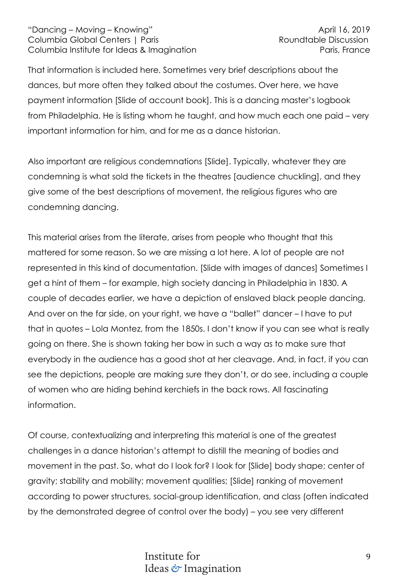That information is included here. Sometimes very brief descriptions about the dances, but more often they talked about the costumes. Over here, we have payment information [Slide of account book]. This is a dancing master's logbook from Philadelphia. He is listing whom he taught, and how much each one paid – very important information for him, and for me as a dance historian.

Also important are religious condemnations [Slide]. Typically, whatever they are condemning is what sold the tickets in the theatres [audience chuckling], and they give some of the best descriptions of movement, the religious figures who are condemning dancing.

This material arises from the literate, arises from people who thought that this mattered for some reason. So we are missing a lot here. A lot of people are not represented in this kind of documentation. [Slide with images of dances] Sometimes I get a hint of them – for example, high society dancing in Philadelphia in 1830. A couple of decades earlier, we have a depiction of enslaved black people dancing. And over on the far side, on your right, we have a "ballet" dancer – I have to put that in quotes – Lola Montez, from the 1850s. I don't know if you can see what is really going on there. She is shown taking her bow in such a way as to make sure that everybody in the audience has a good shot at her cleavage. And, in fact, if you can see the depictions, people are making sure they don't, or do see, including a couple of women who are hiding behind kerchiefs in the back rows. All fascinating information.

Of course, contextualizing and interpreting this material is one of the greatest challenges in a dance historian's attempt to distill the meaning of bodies and movement in the past. So, what do I look for? I look for [Slide] body shape; center of gravity; stability and mobility; movement qualities; [Slide] ranking of movement according to power structures, social-group identification, and class (often indicated by the demonstrated degree of control over the body) – you see very different

# Institute for Ideas & Imagination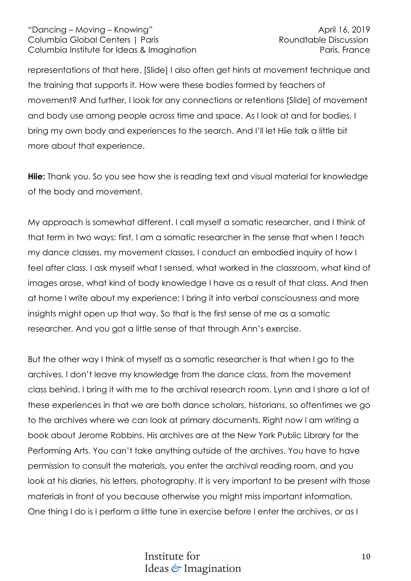representations of that here. [Slide] I also often get hints at movement technique and the training that supports it. How were these bodies formed by teachers of movement? And further, I look for any connections or retentions [Slide] of movement and body use among people across time and space. As I look at and for bodies, I bring my own body and experiences to the search. And I'll let Hiie talk a little bit more about that experience.

**Hiie:** Thank you. So you see how she is reading text and visual material for knowledge of the body and movement.

My approach is somewhat different. I call myself a somatic researcher, and I think of that term in two ways: first, I am a somatic researcher in the sense that when I teach my dance classes, my movement classes, I conduct an embodied inquiry of how I feel after class. I ask myself what I sensed, what worked in the classroom, what kind of images arose, what kind of body knowledge I have as a result of that class. And then at home I write about my experience: I bring it into verbal consciousness and more insights might open up that way. So that is the first sense of me as a somatic researcher. And you got a little sense of that through Ann's exercise.

But the other way I think of myself as a somatic researcher is that when I go to the archives, I don't leave my knowledge from the dance class, from the movement class behind. I bring it with me to the archival research room. Lynn and I share a lot of these experiences in that we are both dance scholars, historians, so oftentimes we go to the archives where we can look at primary documents. Right now I am writing a book about Jerome Robbins. His archives are at the New York Public Library for the Performing Arts. You can't take anything outside of the archives. You have to have permission to consult the materials, you enter the archival reading room, and you look at his diaries, his letters, photography. It is very important to be present with those materials in front of you because otherwise you might miss important information. One thing I do is I perform a little tune in exercise before I enter the archives, or as I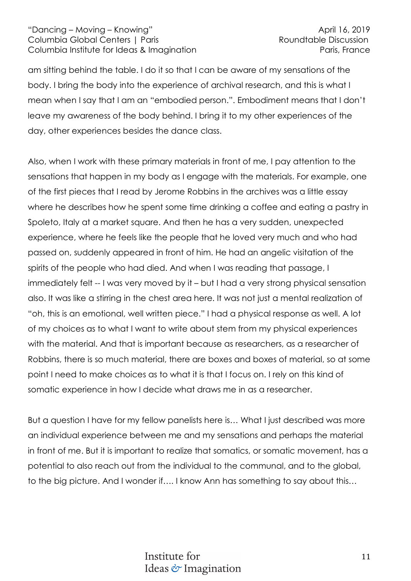am sitting behind the table. I do it so that I can be aware of my sensations of the body. I bring the body into the experience of archival research, and this is what I mean when I say that I am an "embodied person.". Embodiment means that I don't leave my awareness of the body behind. I bring it to my other experiences of the day, other experiences besides the dance class.

Also, when I work with these primary materials in front of me, I pay attention to the sensations that happen in my body as I engage with the materials. For example, one of the first pieces that I read by Jerome Robbins in the archives was a little essay where he describes how he spent some time drinking a coffee and eating a pastry in Spoleto, Italy at a market square. And then he has a very sudden, unexpected experience, where he feels like the people that he loved very much and who had passed on, suddenly appeared in front of him. He had an angelic visitation of the spirits of the people who had died. And when I was reading that passage, I immediately felt -- I was very moved by it – but I had a very strong physical sensation also. It was like a stirring in the chest area here. It was not just a mental realization of "oh, this is an emotional, well written piece." I had a physical response as well. A lot of my choices as to what I want to write about stem from my physical experiences with the material. And that is important because as researchers, as a researcher of Robbins, there is so much material, there are boxes and boxes of material, so at some point I need to make choices as to what it is that I focus on. I rely on this kind of somatic experience in how I decide what draws me in as a researcher.

But a question I have for my fellow panelists here is… What I just described was more an individual experience between me and my sensations and perhaps the material in front of me. But it is important to realize that somatics, or somatic movement, has a potential to also reach out from the individual to the communal, and to the global, to the big picture. And I wonder if…. I know Ann has something to say about this…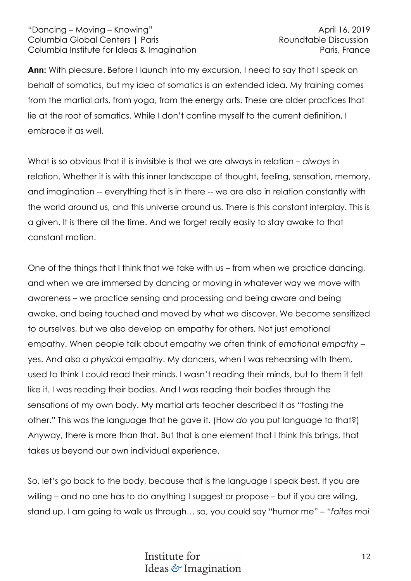**Ann:** With pleasure. Before I launch into my excursion, I need to say that I speak on behalf of somatics, but my idea of somatics is an extended idea. My training comes from the martial arts, from yoga, from the energy arts. These are older practices that lie at the root of somatics. While I don't confine myself to the current definition, I embrace it as well.

What is so obvious that it is invisible is that we are always in relation – *always* in relation. Whether it is with this inner landscape of thought, feeling, sensation, memory, and imagination -- everything that is in there -- we are also in relation constantly with the world around us, and this universe around us. There is this constant interplay. This is a given. It is there all the time. And we forget really easily to stay awake to that constant motion.

One of the things that I think that we take with us – from when we practice dancing, and when we are immersed by dancing or moving in whatever way we move with awareness – we practice sensing and processing and being aware and being awake, and being touched and moved by what we discover. We become sensitized to ourselves, but we also develop an empathy for others. Not just emotional empathy. When people talk about empathy we often think of *emotional empathy* – yes. And also a *physical* empathy. My dancers, when I was rehearsing with them, used to think I could read their minds. I wasn't reading their minds, but to them it felt like it. I was reading their bodies. And I was reading their bodies through the sensations of my own body. My martial arts teacher described it as "tasting the other." This was the language that he gave it. (How *do* you put language to that?) Anyway, there is more than that. But that is one element that I think this brings, that takes us beyond our own individual experience.

So, let's go back to the body, because that is the language I speak best. If you are willing – and no one has to do anything I suggest or propose – but if you are wiling, stand up. I am going to walk us through… so, you could say "humor me" – *"faites moi*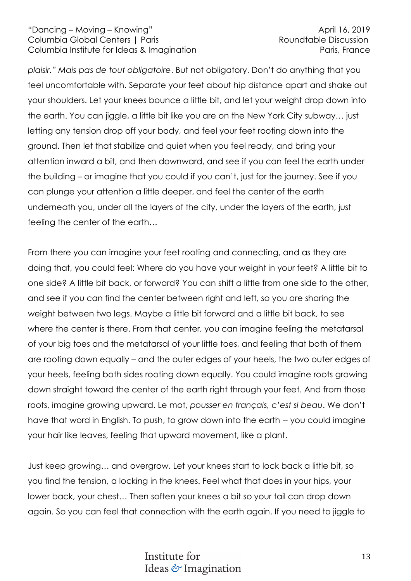*plaisir." Mais pas de tout obligatoire*. But not obligatory. Don't do anything that you feel uncomfortable with. Separate your feet about hip distance apart and shake out your shoulders. Let your knees bounce a little bit, and let your weight drop down into the earth. You can jiggle, a little bit like you are on the New York City subway… just letting any tension drop off your body, and feel your feet rooting down into the ground. Then let that stabilize and quiet when you feel ready, and bring your attention inward a bit, and then downward, and see if you can feel the earth under the building – or imagine that you could if you can't, just for the journey. See if you can plunge your attention a little deeper, and feel the center of the earth underneath you, under all the layers of the city, under the layers of the earth, just feeling the center of the earth…

From there you can imagine your feet rooting and connecting, and as they are doing that, you could feel: Where do you have your weight in your feet? A little bit to one side? A little bit back, or forward? You can shift a little from one side to the other, and see if you can find the center between right and left, so you are sharing the weight between two legs. Maybe a little bit forward and a little bit back, to see where the center is there. From that center, you can imagine feeling the metatarsal of your big toes and the metatarsal of your little toes, and feeling that both of them are rooting down equally – and the outer edges of your heels, the two outer edges of your heels, feeling both sides rooting down equally. You could imagine roots growing down straight toward the center of the earth right through your feet. And from those roots, imagine growing upward. Le mot, *pousser en français, c'est si beau*. We don't have that word in English. To push, to grow down into the earth -- you could imagine your hair like leaves, feeling that upward movement, like a plant.

Just keep growing… and overgrow. Let your knees start to lock back a little bit, so you find the tension, a locking in the knees. Feel what that does in your hips, your lower back, your chest… Then soften your knees a bit so your tail can drop down again. So you can feel that connection with the earth again. If you need to jiggle to

# Institute for Ideas & Imagination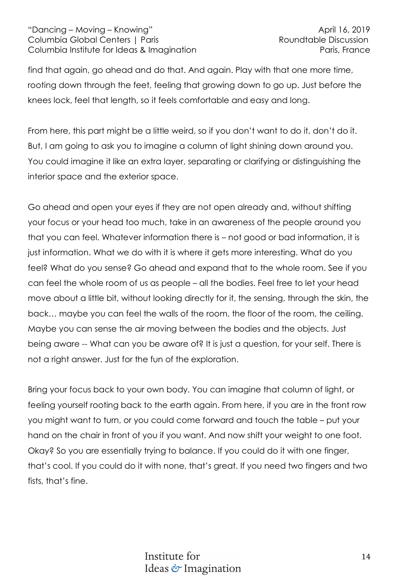find that again, go ahead and do that. And again. Play with that one more time, rooting down through the feet, feeling that growing down to go up. Just before the knees lock, feel that length, so it feels comfortable and easy and long.

From here, this part might be a little weird, so if you don't want to do it, don't do it. But, I am going to ask you to imagine a column of light shining down around you. You could imagine it like an extra layer, separating or clarifying or distinguishing the interior space and the exterior space.

Go ahead and open your eyes if they are not open already and, without shifting your focus or your head too much, take in an awareness of the people around you that you can feel. Whatever information there is – not good or bad information, it is just information. What we do with it is where it gets more interesting. What do you feel? What do you sense? Go ahead and expand that to the whole room. See if you can feel the whole room of us as people – all the bodies. Feel free to let your head move about a little bit, without looking directly for it, the sensing, through the skin, the back… maybe you can feel the walls of the room, the floor of the room, the ceiling. Maybe you can sense the air moving between the bodies and the objects. Just being aware -- What can you be aware of? It is just a question, for your self. There is not a right answer. Just for the fun of the exploration.

Bring your focus back to your own body. You can imagine that column of light, or feeling yourself rooting back to the earth again. From here, if you are in the front row you might want to turn, or you could come forward and touch the table – put your hand on the chair in front of you if you want. And now shift your weight to one foot. Okay? So you are essentially trying to balance. If you could do it with one finger, that's cool. If you could do it with none, that's great. If you need two fingers and two fists, that's fine.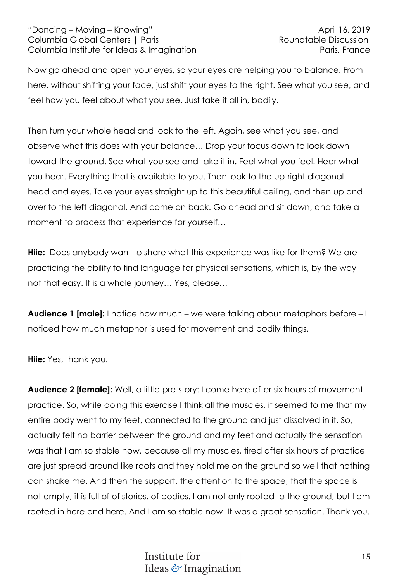Now go ahead and open your eyes, so your eyes are helping you to balance. From here, without shifting your face, just shift your eyes to the right. See what you see, and feel how you feel about what you see. Just take it all in, bodily.

Then turn your whole head and look to the left. Again, see what you see, and observe what this does with your balance… Drop your focus down to look down toward the ground. See what you see and take it in. Feel what you feel. Hear what you hear. Everything that is available to you. Then look to the up-right diagonal – head and eyes. Take your eyes straight up to this beautiful ceiling, and then up and over to the left diagonal. And come on back. Go ahead and sit down, and take a moment to process that experience for yourself…

**Hiie:** Does anybody want to share what this experience was like for them? We are practicing the ability to find language for physical sensations, which is, by the way not that easy. It is a whole journey… Yes, please…

**Audience 1 [male]:** I notice how much – we were talking about metaphors before – I noticed how much metaphor is used for movement and bodily things.

**Hiie:** Yes, thank you.

**Audience 2 [female]:** Well, a little pre-story: I come here after six hours of movement practice. So, while doing this exercise I think all the muscles, it seemed to me that my entire body went to my feet, connected to the ground and just dissolved in it. So, I actually felt no barrier between the ground and my feet and actually the sensation was that I am so stable now, because all my muscles, tired after six hours of practice are just spread around like roots and they hold me on the ground so well that nothing can shake me. And then the support, the attention to the space, that the space is not empty, it is full of of stories, of bodies. I am not only rooted to the ground, but I am rooted in here and here. And I am so stable now. It was a great sensation. Thank you.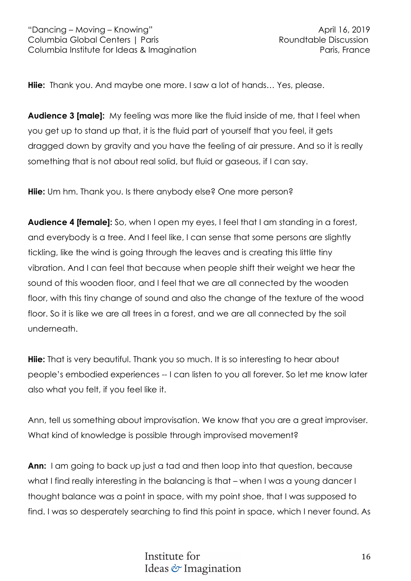**Hiie:** Thank you. And maybe one more. I saw a lot of hands… Yes, please.

**Audience 3 [male]:** My feeling was more like the fluid inside of me, that I feel when you get up to stand up that, it is the fluid part of yourself that you feel, it gets dragged down by gravity and you have the feeling of air pressure. And so it is really something that is not about real solid, but fluid or gaseous, if I can say.

**Hiie:** Um hm. Thank you. Is there anybody else? One more person?

**Audience 4 [female]:** So, when I open my eyes, I feel that I am standing in a forest, and everybody is a tree. And I feel like, I can sense that some persons are slightly tickling, like the wind is going through the leaves and is creating this little tiny vibration. And I can feel that because when people shift their weight we hear the sound of this wooden floor, and I feel that we are all connected by the wooden floor, with this tiny change of sound and also the change of the texture of the wood floor. So it is like we are all trees in a forest, and we are all connected by the soil underneath.

**Hiie:** That is very beautiful. Thank you so much. It is so interesting to hear about people's embodied experiences -- I can listen to you all forever. So let me know later also what you felt, if you feel like it.

Ann, tell us something about improvisation. We know that you are a great improviser. What kind of knowledge is possible through improvised movement?

**Ann:** I am going to back up just a tad and then loop into that question, because what I find really interesting in the balancing is that – when I was a young dancer I thought balance was a point in space, with my point shoe, that I was supposed to find. I was so desperately searching to find this point in space, which I never found. As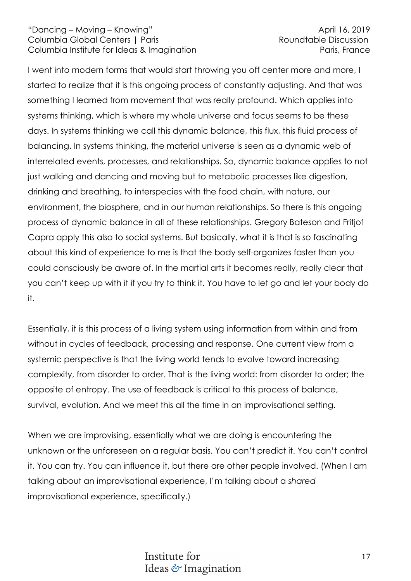I went into modern forms that would start throwing you off center more and more, I started to realize that it is this ongoing process of constantly adjusting. And that was something I learned from movement that was really profound. Which applies into systems thinking, which is where my whole universe and focus seems to be these days. In systems thinking we call this dynamic balance, this flux, this fluid process of balancing. In systems thinking, the material universe is seen as a dynamic web of interrelated events, processes, and relationships. So, dynamic balance applies to not just walking and dancing and moving but to metabolic processes like digestion, drinking and breathing, to interspecies with the food chain, with nature, our environment, the biosphere, and in our human relationships. So there is this ongoing process of dynamic balance in all of these relationships. Gregory Bateson and Fritjof Capra apply this also to social systems. But basically, what it is that is so fascinating about this kind of experience to me is that the body self-organizes faster than you could consciously be aware of. In the martial arts it becomes really, really clear that you can't keep up with it if you try to think it. You have to let go and let your body do it.

Essentially, it is this process of a living system using information from within and from without in cycles of feedback, processing and response. One current view from a systemic perspective is that the living world tends to evolve toward increasing complexity, from disorder to order. That is the living world: from disorder to order; the opposite of entropy. The use of feedback is critical to this process of balance, survival, evolution. And we meet this all the time in an improvisational setting.

When we are improvising, essentially what we are doing is encountering the unknown or the unforeseen on a regular basis. You can't predict it. You can't control it. You can try. You can influence it, but there are other people involved. (When I am talking about an improvisational experience, I'm talking about a *shared* improvisational experience, specifically.)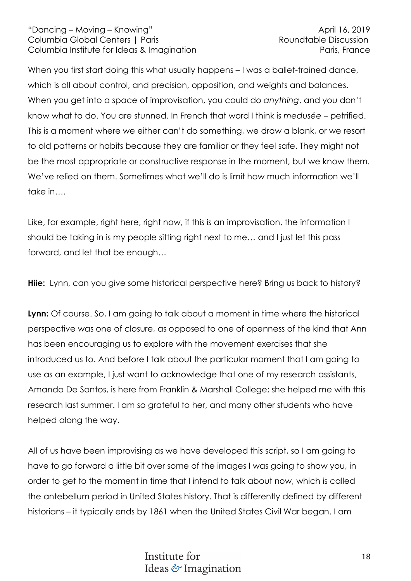When you first start doing this what usually happens – I was a ballet-trained dance, which is all about control, and precision, opposition, and weights and balances. When you get into a space of improvisation, you could do *anything*, and you don't know what to do. You are stunned. In French that word I think is *medusée* – petrified. This is a moment where we either can't do something, we draw a blank, or we resort to old patterns or habits because they are familiar or they feel safe. They might not be the most appropriate or constructive response in the moment, but we know them. We've relied on them. Sometimes what we'll do is limit how much information we'll take in….

Like, for example, right here, right now, if this is an improvisation, the information I should be taking in is my people sitting right next to me… and I just let this pass forward, and let that be enough…

**Hiie:** Lynn, can you give some historical perspective here? Bring us back to history?

**Lynn:** Of course. So, I am going to talk about a moment in time where the historical perspective was one of closure, as opposed to one of openness of the kind that Ann has been encouraging us to explore with the movement exercises that she introduced us to. And before I talk about the particular moment that I am going to use as an example, I just want to acknowledge that one of my research assistants, Amanda De Santos, is here from Franklin & Marshall College; she helped me with this research last summer. I am so grateful to her, and many other students who have helped along the way.

All of us have been improvising as we have developed this script, so I am going to have to go forward a little bit over some of the images I was going to show you, in order to get to the moment in time that I intend to talk about now, which is called the antebellum period in United States history. That is differently defined by different historians – it typically ends by 1861 when the United States Civil War began. I am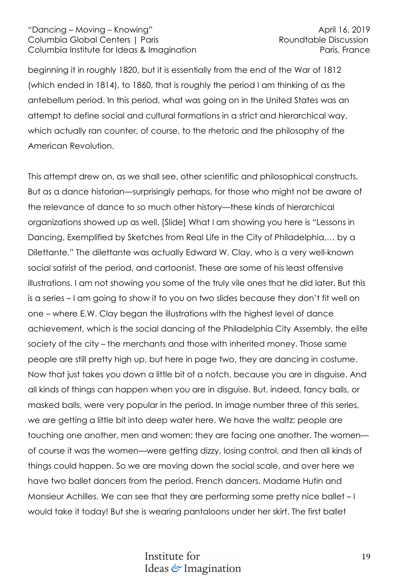beginning it in roughly 1820, but it is essentially from the end of the War of 1812 (which ended in 1814), to 1860, that is roughly the period I am thinking of as the antebellum period. In this period, what was going on in the United States was an attempt to define social and cultural formations in a strict and hierarchical way, which actually ran counter, of course, to the rhetoric and the philosophy of the American Revolution.

This attempt drew on, as we shall see, other scientific and philosophical constructs. But as a dance historian—surprisingly perhaps, for those who might not be aware of the relevance of dance to so much other history—these kinds of hierarchical organizations showed up as well. [Slide] What I am showing you here is "Lessons in Dancing, Exemplified by Sketches from Real Life in the City of Philadelphia,… by a Dilettante." The dilettante was actually Edward W. Clay, who is a very well-known social satirist of the period, and cartoonist. These are some of his least offensive illustrations. I am not showing you some of the truly vile ones that he did later. But this is a series – I am going to show it to you on two slides because they don't fit well on one – where E.W. Clay began the illustrations with the highest level of dance achievement, which is the social dancing of the Philadelphia City Assembly, the elite society of the city – the merchants and those with inherited money. Those same people are still pretty high up, but here in page two, they are dancing in costume. Now that just takes you down a little bit of a notch, because you are in disguise. And all kinds of things can happen when you are in disguise. But, indeed, fancy balls, or masked balls, were very popular in the period. In image number three of this series, we are getting a little bit into deep water here. We have the waltz: people are touching one another, men and women; they are facing one another. The women of course it was the women—were getting dizzy, losing control, and then all kinds of things could happen. So we are moving down the social scale, and over here we have two ballet dancers from the period. French dancers. Madame Hutin and Monsieur Achilles. We can see that they are performing some pretty nice ballet – I would take it today! But she is wearing pantaloons under her skirt. The first ballet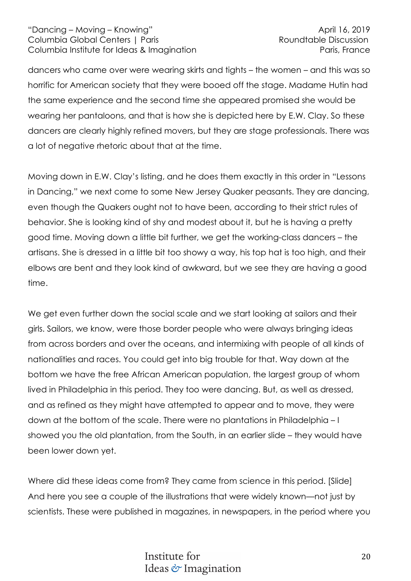dancers who came over were wearing skirts and tights – the women – and this was so horrific for American society that they were booed off the stage. Madame Hutin had the same experience and the second time she appeared promised she would be wearing her pantaloons, and that is how she is depicted here by E.W. Clay. So these dancers are clearly highly refined movers, but they are stage professionals. There was a lot of negative rhetoric about that at the time.

Moving down in E.W. Clay's listing, and he does them exactly in this order in "Lessons in Dancing," we next come to some New Jersey Quaker peasants. They are dancing, even though the Quakers ought not to have been, according to their strict rules of behavior. She is looking kind of shy and modest about it, but he is having a pretty good time. Moving down a little bit further, we get the working-class dancers – the artisans. She is dressed in a little bit too showy a way, his top hat is too high, and their elbows are bent and they look kind of awkward, but we see they are having a good time.

We get even further down the social scale and we start looking at sailors and their girls. Sailors, we know, were those border people who were always bringing ideas from across borders and over the oceans, and intermixing with people of all kinds of nationalities and races. You could get into big trouble for that. Way down at the bottom we have the free African American population, the largest group of whom lived in Philadelphia in this period. They too were dancing. But, as well as dressed, and as refined as they might have attempted to appear and to move, they were down at the bottom of the scale. There were no plantations in Philadelphia – I showed you the old plantation, from the South, in an earlier slide – they would have been lower down yet.

Where did these ideas come from? They came from science in this period. [Slide] And here you see a couple of the illustrations that were widely known—not just by scientists. These were published in magazines, in newspapers, in the period where you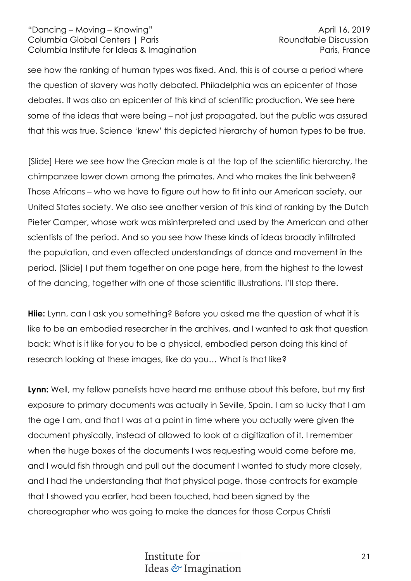see how the ranking of human types was fixed. And, this is of course a period where the question of slavery was hotly debated. Philadelphia was an epicenter of those debates. It was also an epicenter of this kind of scientific production. We see here some of the ideas that were being – not just propagated, but the public was assured that this was true. Science 'knew' this depicted hierarchy of human types to be true.

[Slide] Here we see how the Grecian male is at the top of the scientific hierarchy, the chimpanzee lower down among the primates. And who makes the link between? Those Africans – who we have to figure out how to fit into our American society, our United States society. We also see another version of this kind of ranking by the Dutch Pieter Camper, whose work was misinterpreted and used by the American and other scientists of the period. And so you see how these kinds of ideas broadly infiltrated the population, and even affected understandings of dance and movement in the period. [Slide] I put them together on one page here, from the highest to the lowest of the dancing, together with one of those scientific illustrations. I'll stop there.

**Hiie:** Lynn, can I ask you something? Before you asked me the question of what it is like to be an embodied researcher in the archives, and I wanted to ask that question back: What is it like for you to be a physical, embodied person doing this kind of research looking at these images, like do you… What is that like?

**Lynn:** Well, my fellow panelists have heard me enthuse about this before, but my first exposure to primary documents was actually in Seville, Spain. I am so lucky that I am the age I am, and that I was at a point in time where you actually were given the document physically, instead of allowed to look at a digitization of it. I remember when the huge boxes of the documents I was requesting would come before me, and I would fish through and pull out the document I wanted to study more closely, and I had the understanding that that physical page, those contracts for example that I showed you earlier, had been touched, had been signed by the choreographer who was going to make the dances for those Corpus Christi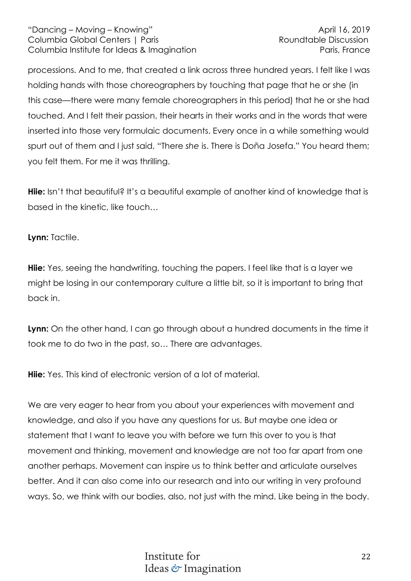processions. And to me, that created a link across three hundred years. I felt like I was holding hands with those choreographers by touching that page that he or she (in this case—there were many female choreographers in this period) that he or she had touched. And I felt their passion, their hearts in their works and in the words that were inserted into those very formulaic documents. Every once in a while something would spurt out of them and I just said, "There *she* is. There is Doña Josefa." You heard them; you felt them. For me it was thrilling.

**Hiie:** Isn't that beautiful? It's a beautiful example of another kind of knowledge that is based in the kinetic, like touch…

**Lynn:** Tactile.

**Hiie:** Yes, seeing the handwriting, touching the papers. I feel like that is a layer we might be losing in our contemporary culture a little bit, so it is important to bring that back in.

**Lynn:** On the other hand, I can go through about a hundred documents in the time it took me to do two in the past, so… There are advantages.

**Hiie:** Yes. This kind of electronic version of a lot of material.

We are very eager to hear from you about your experiences with movement and knowledge, and also if you have any questions for us. But maybe one idea or statement that I want to leave you with before we turn this over to you is that movement and thinking, movement and knowledge are not too far apart from one another perhaps. Movement can inspire us to think better and articulate ourselves better. And it can also come into our research and into our writing in very profound ways. So, we think with our bodies, also, not just with the mind. Like being in the body.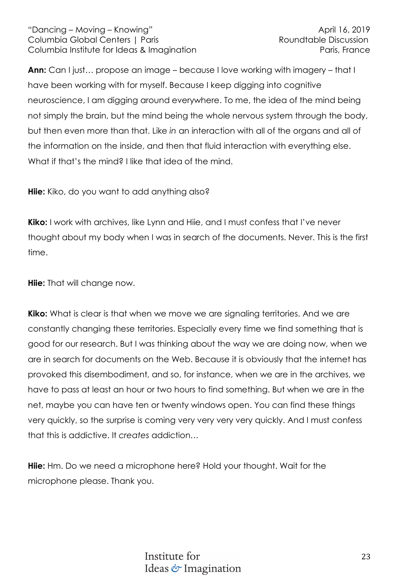**Ann:** Can I just… propose an image – because I love working with imagery – that I have been working with for myself. Because I keep digging into cognitive neuroscience, I am digging around everywhere. To me, the idea of the mind being not simply the brain, but the mind being the whole nervous system through the body, but then even more than that. Like *in* an interaction with all of the organs and all of the information on the inside, and then that fluid interaction with everything else. What if that's the mind? I like that idea of the mind.

**Hiie:** Kiko, do you want to add anything also?

**Kiko:** I work with archives, like Lynn and Hiie, and I must confess that I've never thought about my body when I was in search of the documents. Never. This is the first time.

**Hiie:** That will change now.

**Kiko:** What is clear is that when we move we are signaling territories. And we are constantly changing these territories. Especially every time we find something that is good for our research. But I was thinking about the way we are doing now, when we are in search for documents on the Web. Because it is obviously that the internet has provoked this disembodiment, and so, for instance, when we are in the archives, we have to pass at least an hour or two hours to find something. But when we are in the net, maybe you can have ten or twenty windows open. You can find these things very quickly, so the surprise is coming very very very very quickly. And I must confess that this is addictive. It *creates* addiction…

**Hiie:** Hm. Do we need a microphone here? Hold your thought. Wait for the microphone please. Thank you.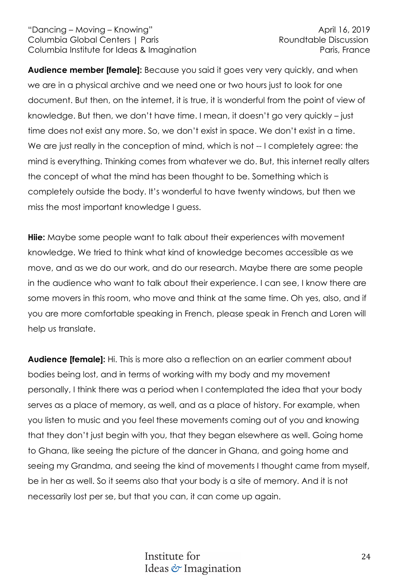**Audience member [female]:** Because you said it goes very very quickly, and when we are in a physical archive and we need one or two hours just to look for one document. But then, on the internet, it is true, it is wonderful from the point of view of knowledge. But then, we don't have time. I mean, it doesn't go very quickly – just time does not exist any more. So, we don't exist in space. We don't exist in a time. We are just really in the conception of mind, which is not -- I completely agree: the mind is everything. Thinking comes from whatever we do. But, this internet really alters the concept of what the mind has been thought to be. Something which is completely outside the body. It's wonderful to have twenty windows, but then we miss the most important knowledge I guess.

**Hiie:** Maybe some people want to talk about their experiences with movement knowledge. We tried to think what kind of knowledge becomes accessible as we move, and as we do our work, and do our research. Maybe there are some people in the audience who want to talk about their experience. I can see, I know there are some movers in this room, who move and think at the same time. Oh yes, also, and if you are more comfortable speaking in French, please speak in French and Loren will help us translate.

**Audience [female]:** Hi. This is more also a reflection on an earlier comment about bodies being lost, and in terms of working with my body and my movement personally, I think there was a period when I contemplated the idea that your body serves as a place of memory, as well, and as a place of history. For example, when you listen to music and you feel these movements coming out of you and knowing that they don't just begin with you, that they began elsewhere as well. Going home to Ghana, like seeing the picture of the dancer in Ghana, and going home and seeing my Grandma, and seeing the kind of movements I thought came from myself, be in her as well. So it seems also that your body is a site of memory. And it is not necessarily lost per se, but that you can, it can come up again.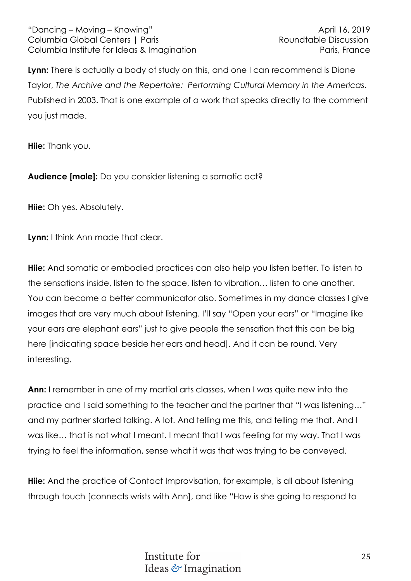**Lynn:** There is actually a body of study on this, and one I can recommend is Diane Taylor, *The Archive and the Repertoire: Performing Cultural Memory in the Americas*. Published in 2003. That is one example of a work that speaks directly to the comment you just made.

**Hiie:** Thank you.

**Audience [male]:** Do you consider listening a somatic act?

**Hiie:** Oh yes. Absolutely.

**Lynn:** I think Ann made that clear.

**Hiie:** And somatic or embodied practices can also help you listen better. To listen to the sensations inside, listen to the space, listen to vibration… listen to one another. You can become a better communicator also. Sometimes in my dance classes I give images that are very much about listening. I'll say "Open your ears" or "Imagine like your ears are elephant ears" just to give people the sensation that this can be big here [indicating space beside her ears and head]. And it can be round. Very interesting.

**Ann:** I remember in one of my martial arts classes, when I was quite new into the practice and I said something to the teacher and the partner that "I was listening…" and my partner started talking. A lot. And telling me this, and telling me that. And I was like… that is not what I meant. I meant that I was feeling for my way. That I was trying to feel the information, sense what it was that was trying to be conveyed.

**Hiie:** And the practice of Contact Improvisation, for example, is all about listening through touch [connects wrists with Ann], and like "How is she going to respond to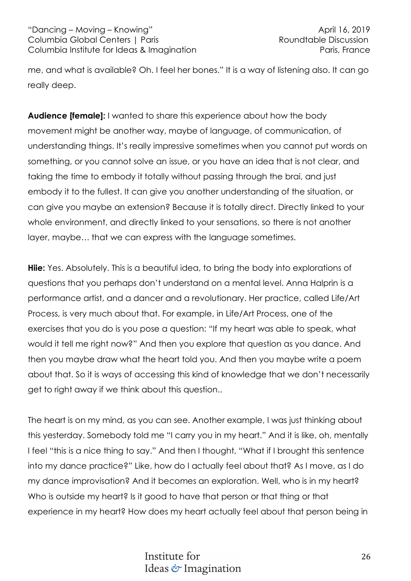me, and what is available? Oh. I feel her bones." It is a way of listening also. It can go really deep.

**Audience [female]:** I wanted to share this experience about how the body movement might be another way, maybe of language, of communication, of understanding things. It's really impressive sometimes when you cannot put words on something, or you cannot solve an issue, or you have an idea that is not clear, and taking the time to embody it totally without passing through the brai, and just embody it to the fullest. It can give you another understanding of the situation, or can give you maybe an extension? Because it is totally direct. Directly linked to your whole environment, and directly linked to your sensations, so there is not another layer, maybe… that we can express with the language sometimes.

**Hiie:** Yes. Absolutely. This is a beautiful idea, to bring the body into explorations of questions that you perhaps don't understand on a mental level. Anna Halprin is a performance artist, and a dancer and a revolutionary. Her practice, called Life/Art Process, is very much about that. For example, in Life/Art Process, one of the exercises that you do is you pose a question: "If my heart was able to speak, what would it tell me right now?" And then you explore that question as you dance. And then you maybe draw what the heart told you. And then you maybe write a poem about that. So it is ways of accessing this kind of knowledge that we don't necessarily get to right away if we think about this question..

The heart is on my mind, as you can see. Another example, I was just thinking about this yesterday. Somebody told me "I carry you in my heart." And it is like, oh, mentally I feel "this is a nice thing to say." And then I thought, "What if I brought this sentence into my dance practice?" Like, how do I actually feel about that? As I move, as I do my dance improvisation? And it becomes an exploration. Well, who is in my heart? Who is outside my heart? Is it good to have that person or that thing or that experience in my heart? How does my heart actually feel about that person being in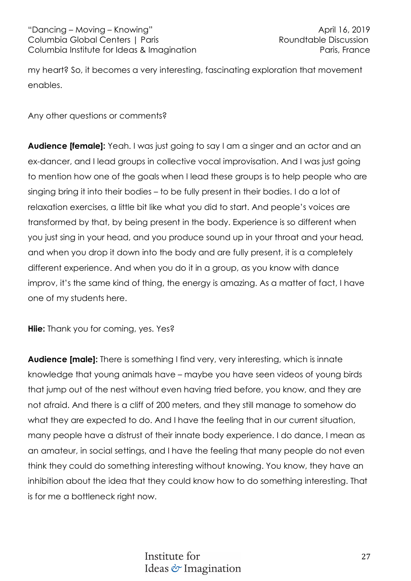my heart? So, it becomes a very interesting, fascinating exploration that movement enables.

Any other questions or comments?

**Audience [female]:** Yeah. I was just going to say I am a singer and an actor and an ex-dancer, and I lead groups in collective vocal improvisation. And I was just going to mention how one of the goals when I lead these groups is to help people who are singing bring it into their bodies – to be fully present in their bodies. I do a lot of relaxation exercises, a little bit like what you did to start. And people's voices are transformed by that, by being present in the body. Experience is so different when you just sing in your head, and you produce sound up in your throat and your head, and when you drop it down into the body and are fully present, it is a completely different experience. And when you do it in a group, as you know with dance improv, it's the same kind of thing, the energy is amazing. As a matter of fact, I have one of my students here.

**Hiie:** Thank you for coming, yes. Yes?

**Audience [male]:** There is something I find very, very interesting, which is innate knowledge that young animals have – maybe you have seen videos of young birds that jump out of the nest without even having tried before, you know, and they are not afraid. And there is a cliff of 200 meters, and they still manage to somehow do what they are expected to do. And I have the feeling that in our current situation, many people have a distrust of their innate body experience. I do dance, I mean as an amateur, in social settings, and I have the feeling that many people do not even think they could do something interesting without knowing. You know, they have an inhibition about the idea that they could know how to do something interesting. That is for me a bottleneck right now.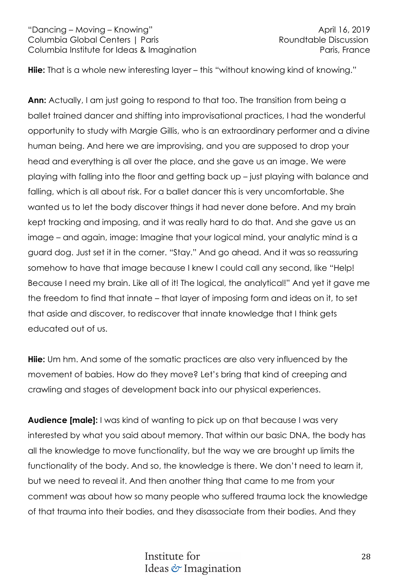**Hiie:** That is a whole new interesting layer – this "without knowing kind of knowing."

**Ann:** Actually, I am just going to respond to that too. The transition from being a ballet trained dancer and shifting into improvisational practices, I had the wonderful opportunity to study with Margie Gillis, who is an extraordinary performer and a divine human being. And here we are improvising, and you are supposed to drop your head and everything is all over the place, and she gave us an image. We were playing with falling into the floor and getting back up – just playing with balance and falling, which is all about risk. For a ballet dancer this is very uncomfortable. She wanted us to let the body discover things it had never done before. And my brain kept tracking and imposing, and it was really hard to do that. And she gave us an image – and again, image: Imagine that your logical mind, your analytic mind is a guard dog. Just set it in the corner. "Stay." And go ahead. And it was so reassuring somehow to have that image because I knew I could call any second, like "Help! Because I need my brain. Like all of it! The logical, the analytical!" And yet it gave me the freedom to find that innate – that layer of imposing form and ideas on it, to set that aside and discover, to rediscover that innate knowledge that I think gets educated out of us.

**Hiie:** Um hm. And some of the somatic practices are also very influenced by the movement of babies. How do they move? Let's bring that kind of creeping and crawling and stages of development back into our physical experiences.

**Audience [male]:** I was kind of wanting to pick up on that because I was very interested by what you said about memory. That within our basic DNA, the body has all the knowledge to move functionality, but the way we are brought up limits the functionality of the body. And so, the knowledge is there. We don't need to learn it, but we need to reveal it. And then another thing that came to me from your comment was about how so many people who suffered trauma lock the knowledge of that trauma into their bodies, and they disassociate from their bodies. And they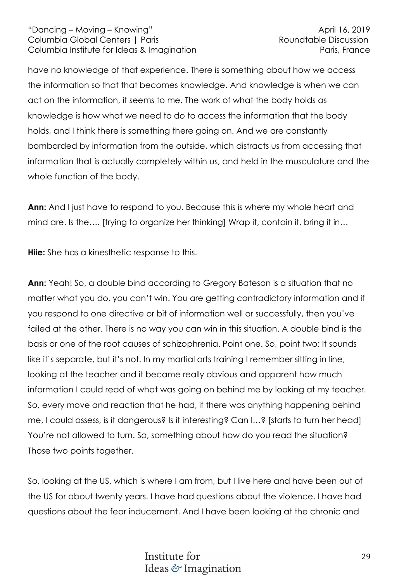have no knowledge of that experience. There is something about how we access the information so that that becomes knowledge. And knowledge is when we can act on the information, it seems to me. The work of what the body holds as knowledge is how what we need to do to access the information that the body holds, and I think there is something there going on. And we are constantly bombarded by information from the outside, which distracts us from accessing that information that is actually completely within us, and held in the musculature and the whole function of the body.

**Ann:** And I just have to respond to you. Because this is where my whole heart and mind are. Is the.... [trying to organize her thinking] Wrap it, contain it, bring it in...

**Hiie:** She has a kinesthetic response to this.

**Ann:** Yeah! So, a double bind according to Gregory Bateson is a situation that no matter what you do, you can't win. You are getting contradictory information and if you respond to one directive or bit of information well or successfully, then you've failed at the other. There is no way you can win in this situation. A double bind is the basis or one of the root causes of schizophrenia. Point one. So, point two: It sounds like it's separate, but it's not. In my martial arts training I remember sitting in line, looking at the teacher and it became really obvious and apparent how much information I could read of what was going on behind me by looking at my teacher. So, every move and reaction that he had, if there was anything happening behind me, I could assess, is it dangerous? Is it interesting? Can I…? [starts to turn her head] You're not allowed to turn. So, something about how do you read the situation? Those two points together.

So, looking at the US, which is where I am from, but I live here and have been out of the US for about twenty years. I have had questions about the violence. I have had questions about the fear inducement. And I have been looking at the chronic and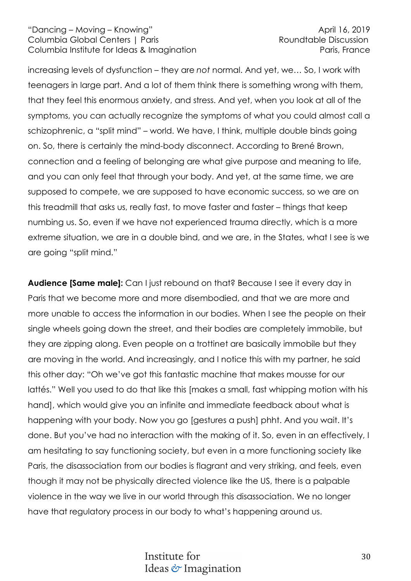increasing levels of dysfunction – they are *not* normal. And yet, we… So, I work with teenagers in large part. And a lot of them think there is something wrong with them, that they feel this enormous anxiety, and stress. And yet, when you look at all of the symptoms, you can actually recognize the symptoms of what you could almost call a schizophrenic, a "split mind" – world. We have, I think, multiple double binds going on. So, there is certainly the mind-body disconnect. According to Brené Brown, connection and a feeling of belonging are what give purpose and meaning to life, and you can only feel that through your body. And yet, at the same time, we are supposed to compete, we are supposed to have economic success, so we are on this treadmill that asks us, really fast, to move faster and faster – things that keep numbing us. So, even if we have not experienced trauma directly, which is a more extreme situation, we are in a double bind, and we are, in the States, what I see is we are going "split mind."

**Audience [Same male]:** Can I just rebound on that? Because I see it every day in Paris that we become more and more disembodied, and that we are more and more unable to access the information in our bodies. When I see the people on their single wheels going down the street, and their bodies are completely immobile, but they are zipping along. Even people on a trottinet are basically immobile but they are moving in the world. And increasingly, and I notice this with my partner, he said this other day: "Oh we've got this fantastic machine that makes mousse for our lattés." Well you used to do that like this [makes a small, fast whipping motion with his hand], which would give you an infinite and immediate feedback about what is happening with your body. Now you go [gestures a push] phht. And you wait. It's done. But you've had no interaction with the making of it. So, even in an effectively, I am hesitating to say functioning society, but even in a more functioning society like Paris, the disassociation from our bodies is flagrant and very striking, and feels, even though it may not be physically directed violence like the US, there is a palpable violence in the way we live in our world through this disassociation. We no longer have that regulatory process in our body to what's happening around us.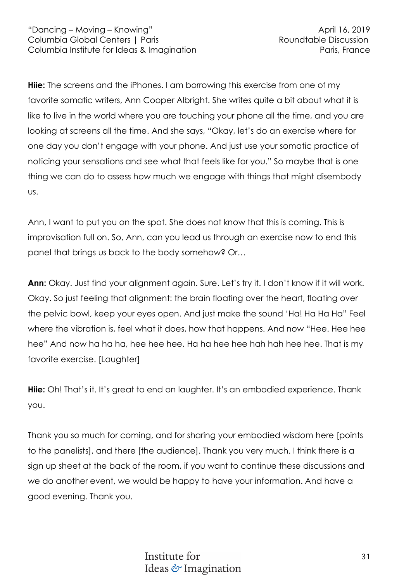**Hiie:** The screens and the iPhones. I am borrowing this exercise from one of my favorite somatic writers, Ann Cooper Albright. She writes quite a bit about what it is like to live in the world where you are touching your phone all the time, and you are looking at screens all the time. And she says, "Okay, let's do an exercise where for one day you don't engage with your phone. And just use your somatic practice of noticing your sensations and see what that feels like for you." So maybe that is one thing we can do to assess how much we engage with things that might disembody us.

Ann, I want to put you on the spot. She does not know that this is coming. This is improvisation full on. So, Ann, can you lead us through an exercise now to end this panel that brings us back to the body somehow? Or…

**Ann:** Okay. Just find your alignment again. Sure. Let's try it. I don't know if it will work. Okay. So just feeling that alignment: the brain floating over the heart, floating over the pelvic bowl, keep your eyes open. And just make the sound 'Ha! Ha Ha Ha" Feel where the vibration is, feel what it does, how that happens. And now "Hee. Hee hee hee" And now ha ha ha, hee hee hee. Ha ha hee hee hah hah hee hee. That is my favorite exercise. [Laughter]

Hiie: Oh! That's it. It's great to end on laughter. It's an embodied experience. Thank you.

Thank you so much for coming, and for sharing your embodied wisdom here [points to the panelists], and there [the audience]. Thank you very much. I think there is a sign up sheet at the back of the room, if you want to continue these discussions and we do another event, we would be happy to have your information. And have a good evening. Thank you.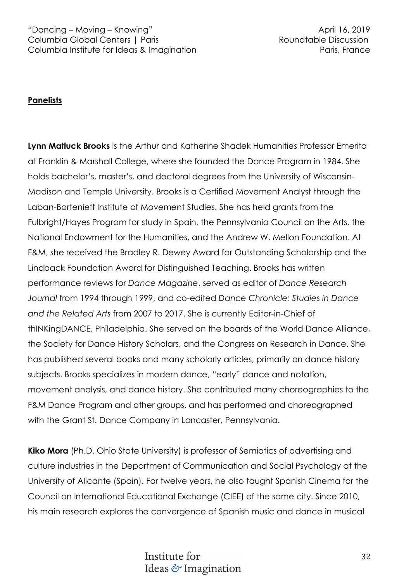# **Panelists**

**Lynn Matluck Brooks** is the Arthur and Katherine Shadek Humanities Professor Emerita at Franklin & Marshall College, where she founded the Dance Program in 1984. She holds bachelor's, master's, and doctoral degrees from the University of Wisconsin-Madison and Temple University. Brooks is a Certified Movement Analyst through the Laban-Bartenieff Institute of Movement Studies. She has held grants from the Fulbright/Hayes Program for study in Spain, the Pennsylvania Council on the Arts, the National Endowment for the Humanities, and the Andrew W. Mellon Foundation. At F&M, she received the Bradley R. Dewey Award for Outstanding Scholarship and the Lindback Foundation Award for Distinguished Teaching. Brooks has written performance reviews for *Dance Magazine*, served as editor of *Dance Research Journal* from 1994 through 1999, and co-edited *Dance Chronicle: Studies in Dance and the Related Arts* from 2007 to 2017. She is currently Editor-in-Chief of thINKingDANCE, Philadelphia. She served on the boards of the World Dance Alliance, the Society for Dance History Scholars, and the Congress on Research in Dance. She has published several books and many scholarly articles, primarily on dance history subjects. Brooks specializes in modern dance, "early" dance and notation, movement analysis, and dance history. She contributed many choreographies to the F&M Dance Program and other groups. and has performed and choreographed with the Grant St. Dance Company in Lancaster, Pennsylvania.

**Kiko Mora** (Ph.D. Ohio State University) is professor of Semiotics of advertising and culture industries in the Department of Communication and Social Psychology at the University of Alicante (Spain). For twelve years, he also taught Spanish Cinema for the Council on International Educational Exchange (CIEE) of the same city. Since 2010, his main research explores the convergence of Spanish music and dance in musical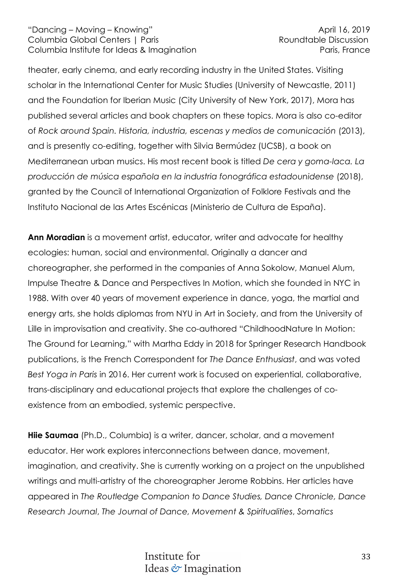theater, early cinema, and early recording industry in the United States. Visiting scholar in the International Center for Music Studies (University of Newcastle, 2011) and the Foundation for Iberian Music (City University of New York, 2017), Mora has published several articles and book chapters on these topics. Mora is also co-editor of *Rock around Spain. Historia, industria, escenas y medios de comunicación* (2013), and is presently co-editing, together with Silvia Bermúdez (UCSB), a book on Mediterranean urban musics. His most recent book is titled *De cera y goma-laca. La producción de música española en la industria fonográfica estadounidense* (2018), granted by the Council of International Organization of Folklore Festivals and the Instituto Nacional de las Artes Escénicas (Ministerio de Cultura de España).

**Ann Moradian** is a movement artist, educator, writer and advocate for healthy ecologies: human, social and environmental. Originally a dancer and choreographer, she performed in the companies of Anna Sokolow, Manuel Alum, Impulse Theatre & Dance and Perspectives In Motion, which she founded in NYC in 1988. With over 40 years of movement experience in dance, yoga, the martial and energy arts, she holds diplomas from NYU in Art in Society, and from the University of Lille in improvisation and creativity. She co-authored "ChildhoodNature In Motion: The Ground for Learning," with Martha Eddy in 2018 for Springer Research Handbook publications, is the French Correspondent for *The Dance Enthusiast*, and was voted *Best Yoga in Paris* in 2016. Her current work is focused on experiential, collaborative, trans-disciplinary and educational projects that explore the challenges of coexistence from an embodied, systemic perspective.

**Hiie Saumaa** (Ph.D., Columbia) is a writer, dancer, scholar, and a movement educator. Her work explores interconnections between dance, movement, imagination, and creativity. She is currently working on a project on the unpublished writings and multi-artistry of the choreographer Jerome Robbins. Her articles have appeared in *The Routledge Companion to Dance Studies, Dance Chronicle, Dance Research Journal*, *The Journal of Dance, Movement & Spiritualities*, *Somatics*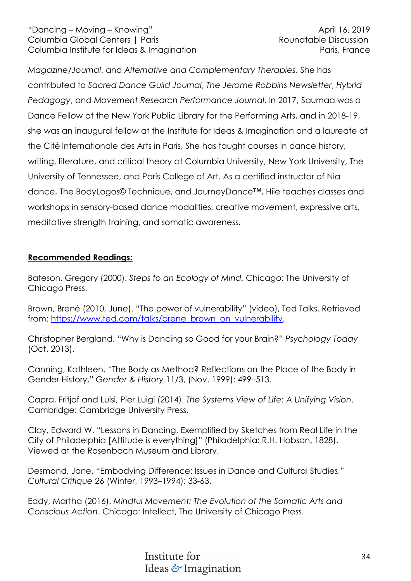*Magazine/Journal*, and *Alternative and Complementary Therapies*. She has contributed to *Sacred Dance Guild Journal*, *The Jerome Robbins Newsletter*, *Hybrid Pedagogy*, and *Movement Research Performance Journal*. In 2017, Saumaa was a Dance Fellow at the New York Public Library for the Performing Arts, and in 2018-19, she was an inaugural fellow at the Institute for Ideas & Imagination and a laureate at the Cité Internationale des Arts in Paris, She has taught courses in dance history, writing, literature, and critical theory at Columbia University, New York University, The University of Tennessee, and Paris College of Art. As a certified instructor of Nia dance, The BodyLogos© Technique, and JourneyDance™, Hiie teaches classes and workshops in sensory-based dance modalities, creative movement, expressive arts, meditative strength training, and somatic awareness.

# **Recommended Readings:**

Bateson, Gregory (2000). *Steps to an Ecology of Mind.* Chicago: The University of Chicago Press.

Brown, Brené (2010, June). "The power of vulnerability" (video), Ted Talks. Retrieved from: https://www.ted.com/talks/brene\_brown\_on\_vulnerability.

Christopher Bergland. "Why is Dancing so Good for your Brain?" *Psychology Today* (Oct. 2013).

Canning, Kathleen. "The Body as Method? Reflections on the Place of the Body in Gender History," *Gender & History* 11/3, (Nov. 1999): 499–513.

Capra, Fritjof and Luisi, Pier Luigi (2014). *The Systems View of Life: A Unifying Vision*. Cambridge: Cambridge University Press.

Clay, Edward W. "Lessons in Dancing, Exemplified by Sketches from Real Life in the City of Philadelphia [Attitude is everything]" (Philadelphia: R.H. Hobson, 1828). Viewed at the Rosenbach Museum and Library.

Desmond, Jane. "Embodying Difference: Issues in Dance and Cultural Studies," *Cultural Critique* 26 (Winter, 1993–1994): 33-63.

Eddy, Martha (2016). *Mindful Movement: The Evolution of the Somatic Arts and Conscious Action*. Chicago: Intellect, The University of Chicago Press.